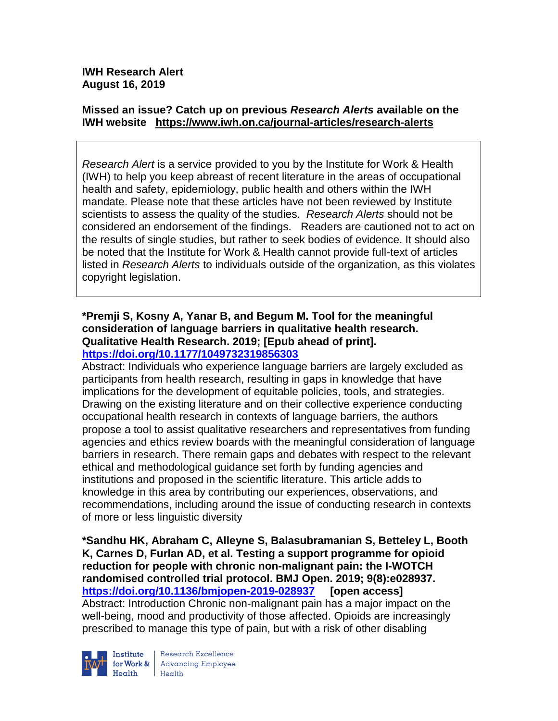# **Missed an issue? Catch up on previous** *Research Alerts* **available on the [IWH website](http://www.iwh.on.ca/research-alerts) <https://www.iwh.on.ca/journal-articles/research-alerts>**

*Research Alert* is a service provided to you by the Institute for Work & Health (IWH) to help you keep abreast of recent literature in the areas of occupational health and safety, epidemiology, public health and others within the IWH mandate. Please note that these articles have not been reviewed by Institute scientists to assess the quality of the studies. *Research Alerts* should not be considered an endorsement of the findings. Readers are cautioned not to act on the results of single studies, but rather to seek bodies of evidence. It should also be noted that the Institute for Work & Health cannot provide full-text of articles listed in *Research Alerts* to individuals outside of the organization, as this violates copyright legislation.

## **\*Premji S, Kosny A, Yanar B, and Begum M. Tool for the meaningful consideration of language barriers in qualitative health research. Qualitative Health Research. 2019; [Epub ahead of print]. <https://doi.org/10.1177/1049732319856303>**

Abstract: Individuals who experience language barriers are largely excluded as participants from health research, resulting in gaps in knowledge that have implications for the development of equitable policies, tools, and strategies. Drawing on the existing literature and on their collective experience conducting occupational health research in contexts of language barriers, the authors propose a tool to assist qualitative researchers and representatives from funding agencies and ethics review boards with the meaningful consideration of language barriers in research. There remain gaps and debates with respect to the relevant ethical and methodological guidance set forth by funding agencies and institutions and proposed in the scientific literature. This article adds to knowledge in this area by contributing our experiences, observations, and recommendations, including around the issue of conducting research in contexts of more or less linguistic diversity

**\*Sandhu HK, Abraham C, Alleyne S, Balasubramanian S, Betteley L, Booth K, Carnes D, Furlan AD, et al. Testing a support programme for opioid reduction for people with chronic non-malignant pain: the I-WOTCH randomised controlled trial protocol. BMJ Open. 2019; 9(8):e028937. <https://doi.org/10.1136/bmjopen-2019-028937> [open access]** Abstract: Introduction Chronic non-malignant pain has a major impact on the well-being, mood and productivity of those affected. Opioids are increasingly prescribed to manage this type of pain, but with a risk of other disabling



Research Excellence Institute Research Excellence<br> **For Work & Advancing Employee**<br> **Harlth** Harlth Health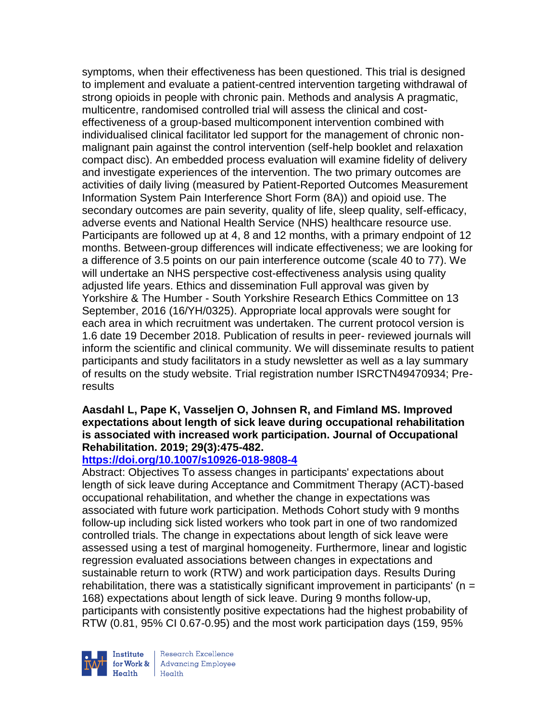symptoms, when their effectiveness has been questioned. This trial is designed to implement and evaluate a patient-centred intervention targeting withdrawal of strong opioids in people with chronic pain. Methods and analysis A pragmatic, multicentre, randomised controlled trial will assess the clinical and costeffectiveness of a group-based multicomponent intervention combined with individualised clinical facilitator led support for the management of chronic nonmalignant pain against the control intervention (self-help booklet and relaxation compact disc). An embedded process evaluation will examine fidelity of delivery and investigate experiences of the intervention. The two primary outcomes are activities of daily living (measured by Patient-Reported Outcomes Measurement Information System Pain Interference Short Form (8A)) and opioid use. The secondary outcomes are pain severity, quality of life, sleep quality, self-efficacy, adverse events and National Health Service (NHS) healthcare resource use. Participants are followed up at 4, 8 and 12 months, with a primary endpoint of 12 months. Between-group differences will indicate effectiveness; we are looking for a difference of 3.5 points on our pain interference outcome (scale 40 to 77). We will undertake an NHS perspective cost-effectiveness analysis using quality adjusted life years. Ethics and dissemination Full approval was given by Yorkshire & The Humber - South Yorkshire Research Ethics Committee on 13 September, 2016 (16/YH/0325). Appropriate local approvals were sought for each area in which recruitment was undertaken. The current protocol version is 1.6 date 19 December 2018. Publication of results in peer- reviewed journals will inform the scientific and clinical community. We will disseminate results to patient participants and study facilitators in a study newsletter as well as a lay summary of results on the study website. Trial registration number ISRCTN49470934; Preresults

## **Aasdahl L, Pape K, Vasseljen O, Johnsen R, and Fimland MS. Improved expectations about length of sick leave during occupational rehabilitation is associated with increased work participation. Journal of Occupational Rehabilitation. 2019; 29(3):475-482.**

## **<https://doi.org/10.1007/s10926-018-9808-4>**

Abstract: Objectives To assess changes in participants' expectations about length of sick leave during Acceptance and Commitment Therapy (ACT)-based occupational rehabilitation, and whether the change in expectations was associated with future work participation. Methods Cohort study with 9 months follow-up including sick listed workers who took part in one of two randomized controlled trials. The change in expectations about length of sick leave were assessed using a test of marginal homogeneity. Furthermore, linear and logistic regression evaluated associations between changes in expectations and sustainable return to work (RTW) and work participation days. Results During rehabilitation, there was a statistically significant improvement in participants' ( $n =$ 168) expectations about length of sick leave. During 9 months follow-up, participants with consistently positive expectations had the highest probability of RTW (0.81, 95% CI 0.67-0.95) and the most work participation days (159, 95%

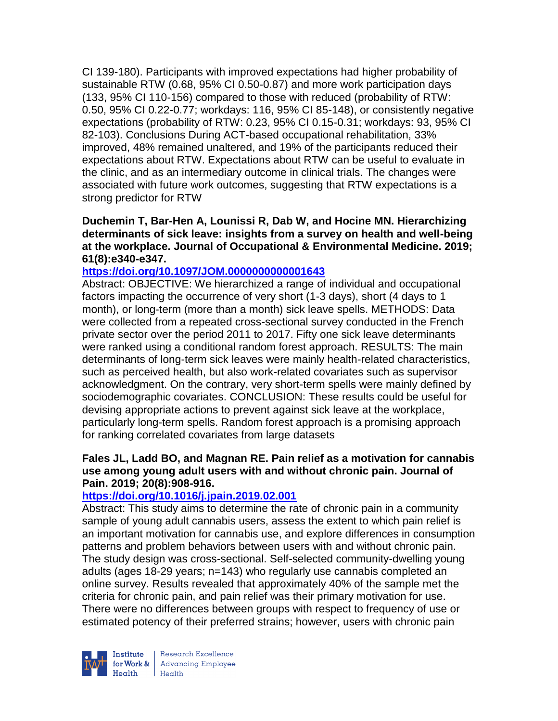CI 139-180). Participants with improved expectations had higher probability of sustainable RTW (0.68, 95% CI 0.50-0.87) and more work participation days (133, 95% CI 110-156) compared to those with reduced (probability of RTW: 0.50, 95% CI 0.22-0.77; workdays: 116, 95% CI 85-148), or consistently negative expectations (probability of RTW: 0.23, 95% CI 0.15-0.31; workdays: 93, 95% CI 82-103). Conclusions During ACT-based occupational rehabilitation, 33% improved, 48% remained unaltered, and 19% of the participants reduced their expectations about RTW. Expectations about RTW can be useful to evaluate in the clinic, and as an intermediary outcome in clinical trials. The changes were associated with future work outcomes, suggesting that RTW expectations is a strong predictor for RTW

**Duchemin T, Bar-Hen A, Lounissi R, Dab W, and Hocine MN. Hierarchizing determinants of sick leave: insights from a survey on health and well-being at the workplace. Journal of Occupational & Environmental Medicine. 2019; 61(8):e340-e347.** 

## **<https://doi.org/10.1097/JOM.0000000000001643>**

Abstract: OBJECTIVE: We hierarchized a range of individual and occupational factors impacting the occurrence of very short (1-3 days), short (4 days to 1 month), or long-term (more than a month) sick leave spells. METHODS: Data were collected from a repeated cross-sectional survey conducted in the French private sector over the period 2011 to 2017. Fifty one sick leave determinants were ranked using a conditional random forest approach. RESULTS: The main determinants of long-term sick leaves were mainly health-related characteristics, such as perceived health, but also work-related covariates such as supervisor acknowledgment. On the contrary, very short-term spells were mainly defined by sociodemographic covariates. CONCLUSION: These results could be useful for devising appropriate actions to prevent against sick leave at the workplace, particularly long-term spells. Random forest approach is a promising approach for ranking correlated covariates from large datasets

### **Fales JL, Ladd BO, and Magnan RE. Pain relief as a motivation for cannabis use among young adult users with and without chronic pain. Journal of Pain. 2019; 20(8):908-916.**

## **<https://doi.org/10.1016/j.jpain.2019.02.001>**

Abstract: This study aims to determine the rate of chronic pain in a community sample of young adult cannabis users, assess the extent to which pain relief is an important motivation for cannabis use, and explore differences in consumption patterns and problem behaviors between users with and without chronic pain. The study design was cross-sectional. Self-selected community-dwelling young adults (ages 18-29 years; n=143) who regularly use cannabis completed an online survey. Results revealed that approximately 40% of the sample met the criteria for chronic pain, and pain relief was their primary motivation for use. There were no differences between groups with respect to frequency of use or estimated potency of their preferred strains; however, users with chronic pain



Research Excellence for Work & Advancing Employee Health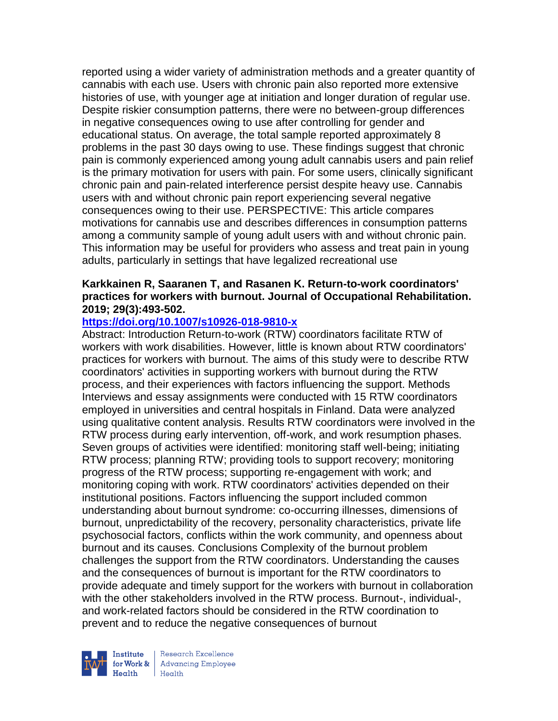reported using a wider variety of administration methods and a greater quantity of cannabis with each use. Users with chronic pain also reported more extensive histories of use, with younger age at initiation and longer duration of regular use. Despite riskier consumption patterns, there were no between-group differences in negative consequences owing to use after controlling for gender and educational status. On average, the total sample reported approximately 8 problems in the past 30 days owing to use. These findings suggest that chronic pain is commonly experienced among young adult cannabis users and pain relief is the primary motivation for users with pain. For some users, clinically significant chronic pain and pain-related interference persist despite heavy use. Cannabis users with and without chronic pain report experiencing several negative consequences owing to their use. PERSPECTIVE: This article compares motivations for cannabis use and describes differences in consumption patterns among a community sample of young adult users with and without chronic pain. This information may be useful for providers who assess and treat pain in young adults, particularly in settings that have legalized recreational use

### **Karkkainen R, Saaranen T, and Rasanen K. Return-to-work coordinators' practices for workers with burnout. Journal of Occupational Rehabilitation. 2019; 29(3):493-502.**

## **<https://doi.org/10.1007/s10926-018-9810-x>**

Abstract: Introduction Return-to-work (RTW) coordinators facilitate RTW of workers with work disabilities. However, little is known about RTW coordinators' practices for workers with burnout. The aims of this study were to describe RTW coordinators' activities in supporting workers with burnout during the RTW process, and their experiences with factors influencing the support. Methods Interviews and essay assignments were conducted with 15 RTW coordinators employed in universities and central hospitals in Finland. Data were analyzed using qualitative content analysis. Results RTW coordinators were involved in the RTW process during early intervention, off-work, and work resumption phases. Seven groups of activities were identified: monitoring staff well-being; initiating RTW process; planning RTW; providing tools to support recovery; monitoring progress of the RTW process; supporting re-engagement with work; and monitoring coping with work. RTW coordinators' activities depended on their institutional positions. Factors influencing the support included common understanding about burnout syndrome: co-occurring illnesses, dimensions of burnout, unpredictability of the recovery, personality characteristics, private life psychosocial factors, conflicts within the work community, and openness about burnout and its causes. Conclusions Complexity of the burnout problem challenges the support from the RTW coordinators. Understanding the causes and the consequences of burnout is important for the RTW coordinators to provide adequate and timely support for the workers with burnout in collaboration with the other stakeholders involved in the RTW process. Burnout-, individual-, and work-related factors should be considered in the RTW coordination to prevent and to reduce the negative consequences of burnout



Research Excellence for Work & Advancing Employee  $Heath$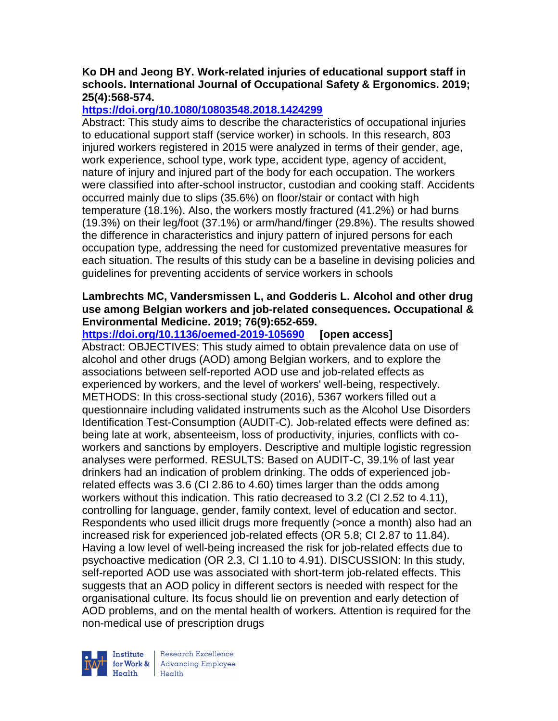## **Ko DH and Jeong BY. Work-related injuries of educational support staff in schools. International Journal of Occupational Safety & Ergonomics. 2019; 25(4):568-574.**

# **<https://doi.org/10.1080/10803548.2018.1424299>**

Abstract: This study aims to describe the characteristics of occupational injuries to educational support staff (service worker) in schools. In this research, 803 injured workers registered in 2015 were analyzed in terms of their gender, age, work experience, school type, work type, accident type, agency of accident, nature of injury and injured part of the body for each occupation. The workers were classified into after-school instructor, custodian and cooking staff. Accidents occurred mainly due to slips (35.6%) on floor/stair or contact with high temperature (18.1%). Also, the workers mostly fractured (41.2%) or had burns (19.3%) on their leg/foot (37.1%) or arm/hand/finger (29.8%). The results showed the difference in characteristics and injury pattern of injured persons for each occupation type, addressing the need for customized preventative measures for each situation. The results of this study can be a baseline in devising policies and guidelines for preventing accidents of service workers in schools

## **Lambrechts MC, Vandersmissen L, and Godderis L. Alcohol and other drug use among Belgian workers and job-related consequences. Occupational & Environmental Medicine. 2019; 76(9):652-659.**

**<https://doi.org/10.1136/oemed-2019-105690> [open access]** Abstract: OBJECTIVES: This study aimed to obtain prevalence data on use of alcohol and other drugs (AOD) among Belgian workers, and to explore the associations between self-reported AOD use and job-related effects as experienced by workers, and the level of workers' well-being, respectively. METHODS: In this cross-sectional study (2016), 5367 workers filled out a questionnaire including validated instruments such as the Alcohol Use Disorders Identification Test-Consumption (AUDIT-C). Job-related effects were defined as: being late at work, absenteeism, loss of productivity, injuries, conflicts with coworkers and sanctions by employers. Descriptive and multiple logistic regression analyses were performed. RESULTS: Based on AUDIT-C, 39.1% of last year drinkers had an indication of problem drinking. The odds of experienced jobrelated effects was 3.6 (CI 2.86 to 4.60) times larger than the odds among workers without this indication. This ratio decreased to 3.2 (CI 2.52 to 4.11), controlling for language, gender, family context, level of education and sector. Respondents who used illicit drugs more frequently (>once a month) also had an increased risk for experienced job-related effects (OR 5.8; CI 2.87 to 11.84). Having a low level of well-being increased the risk for job-related effects due to psychoactive medication (OR 2.3, CI 1.10 to 4.91). DISCUSSION: In this study, self-reported AOD use was associated with short-term job-related effects. This suggests that an AOD policy in different sectors is needed with respect for the organisational culture. Its focus should lie on prevention and early detection of AOD problems, and on the mental health of workers. Attention is required for the non-medical use of prescription drugs

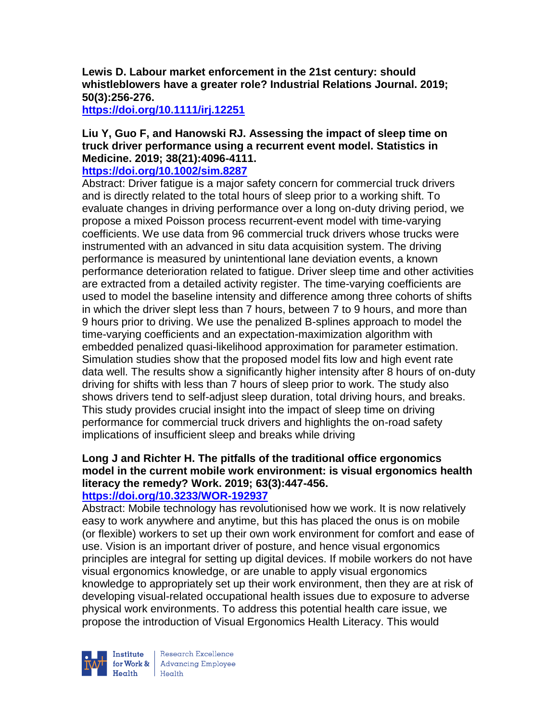**Lewis D. Labour market enforcement in the 21st century: should whistleblowers have a greater role? Industrial Relations Journal. 2019; 50(3):256-276.** 

**<https://doi.org/10.1111/irj.12251>** 

### **Liu Y, Guo F, and Hanowski RJ. Assessing the impact of sleep time on truck driver performance using a recurrent event model. Statistics in Medicine. 2019; 38(21):4096-4111.**

### **<https://doi.org/10.1002/sim.8287>**

Abstract: Driver fatigue is a major safety concern for commercial truck drivers and is directly related to the total hours of sleep prior to a working shift. To evaluate changes in driving performance over a long on-duty driving period, we propose a mixed Poisson process recurrent-event model with time-varying coefficients. We use data from 96 commercial truck drivers whose trucks were instrumented with an advanced in situ data acquisition system. The driving performance is measured by unintentional lane deviation events, a known performance deterioration related to fatigue. Driver sleep time and other activities are extracted from a detailed activity register. The time-varying coefficients are used to model the baseline intensity and difference among three cohorts of shifts in which the driver slept less than 7 hours, between 7 to 9 hours, and more than 9 hours prior to driving. We use the penalized B-splines approach to model the time-varying coefficients and an expectation-maximization algorithm with embedded penalized quasi-likelihood approximation for parameter estimation. Simulation studies show that the proposed model fits low and high event rate data well. The results show a significantly higher intensity after 8 hours of on-duty driving for shifts with less than 7 hours of sleep prior to work. The study also shows drivers tend to self-adjust sleep duration, total driving hours, and breaks. This study provides crucial insight into the impact of sleep time on driving performance for commercial truck drivers and highlights the on-road safety implications of insufficient sleep and breaks while driving

# **Long J and Richter H. The pitfalls of the traditional office ergonomics model in the current mobile work environment: is visual ergonomics health literacy the remedy? Work. 2019; 63(3):447-456.**

## **<https://doi.org/10.3233/WOR-192937>**

Abstract: Mobile technology has revolutionised how we work. It is now relatively easy to work anywhere and anytime, but this has placed the onus is on mobile (or flexible) workers to set up their own work environment for comfort and ease of use. Vision is an important driver of posture, and hence visual ergonomics principles are integral for setting up digital devices. If mobile workers do not have visual ergonomics knowledge, or are unable to apply visual ergonomics knowledge to appropriately set up their work environment, then they are at risk of developing visual-related occupational health issues due to exposure to adverse physical work environments. To address this potential health care issue, we propose the introduction of Visual Ergonomics Health Literacy. This would



Research Excellence Institute<br>
for Work & Advancing Employee<br>
Health Health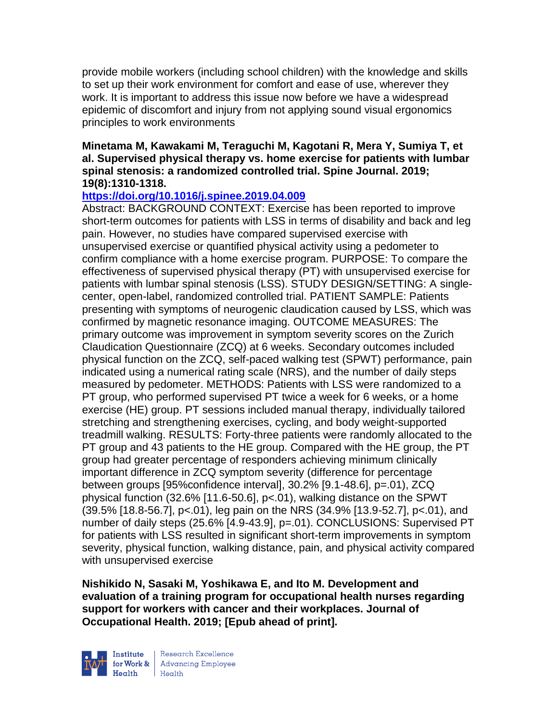provide mobile workers (including school children) with the knowledge and skills to set up their work environment for comfort and ease of use, wherever they work. It is important to address this issue now before we have a widespread epidemic of discomfort and injury from not applying sound visual ergonomics principles to work environments

## **Minetama M, Kawakami M, Teraguchi M, Kagotani R, Mera Y, Sumiya T, et al. Supervised physical therapy vs. home exercise for patients with lumbar spinal stenosis: a randomized controlled trial. Spine Journal. 2019; 19(8):1310-1318.**

## **<https://doi.org/10.1016/j.spinee.2019.04.009>**

Abstract: BACKGROUND CONTEXT: Exercise has been reported to improve short-term outcomes for patients with LSS in terms of disability and back and leg pain. However, no studies have compared supervised exercise with unsupervised exercise or quantified physical activity using a pedometer to confirm compliance with a home exercise program. PURPOSE: To compare the effectiveness of supervised physical therapy (PT) with unsupervised exercise for patients with lumbar spinal stenosis (LSS). STUDY DESIGN/SETTING: A singlecenter, open-label, randomized controlled trial. PATIENT SAMPLE: Patients presenting with symptoms of neurogenic claudication caused by LSS, which was confirmed by magnetic resonance imaging. OUTCOME MEASURES: The primary outcome was improvement in symptom severity scores on the Zurich Claudication Questionnaire (ZCQ) at 6 weeks. Secondary outcomes included physical function on the ZCQ, self-paced walking test (SPWT) performance, pain indicated using a numerical rating scale (NRS), and the number of daily steps measured by pedometer. METHODS: Patients with LSS were randomized to a PT group, who performed supervised PT twice a week for 6 weeks, or a home exercise (HE) group. PT sessions included manual therapy, individually tailored stretching and strengthening exercises, cycling, and body weight-supported treadmill walking. RESULTS: Forty-three patients were randomly allocated to the PT group and 43 patients to the HE group. Compared with the HE group, the PT group had greater percentage of responders achieving minimum clinically important difference in ZCQ symptom severity (difference for percentage between groups [95%confidence interval], 30.2% [9.1-48.6], p=.01), ZCQ physical function (32.6% [11.6-50.6], p<.01), walking distance on the SPWT (39.5% [18.8-56.7], p<.01), leg pain on the NRS (34.9% [13.9-52.7], p<.01), and number of daily steps (25.6% [4.9-43.9], p=.01). CONCLUSIONS: Supervised PT for patients with LSS resulted in significant short-term improvements in symptom severity, physical function, walking distance, pain, and physical activity compared with unsupervised exercise

**Nishikido N, Sasaki M, Yoshikawa E, and Ito M. Development and evaluation of a training program for occupational health nurses regarding support for workers with cancer and their workplaces. Journal of Occupational Health. 2019; [Epub ahead of print].** 



Research Excellence for Work & | Advancing Employee Health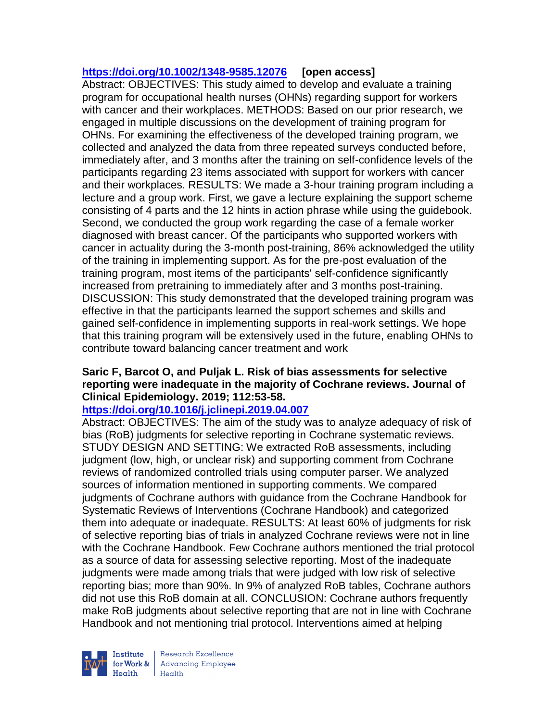# **<https://doi.org/10.1002/1348-9585.12076> [open access]**

Abstract: OBJECTIVES: This study aimed to develop and evaluate a training program for occupational health nurses (OHNs) regarding support for workers with cancer and their workplaces. METHODS: Based on our prior research, we engaged in multiple discussions on the development of training program for OHNs. For examining the effectiveness of the developed training program, we collected and analyzed the data from three repeated surveys conducted before, immediately after, and 3 months after the training on self-confidence levels of the participants regarding 23 items associated with support for workers with cancer and their workplaces. RESULTS: We made a 3-hour training program including a lecture and a group work. First, we gave a lecture explaining the support scheme consisting of 4 parts and the 12 hints in action phrase while using the guidebook. Second, we conducted the group work regarding the case of a female worker diagnosed with breast cancer. Of the participants who supported workers with cancer in actuality during the 3-month post-training, 86% acknowledged the utility of the training in implementing support. As for the pre-post evaluation of the training program, most items of the participants' self-confidence significantly increased from pretraining to immediately after and 3 months post-training. DISCUSSION: This study demonstrated that the developed training program was effective in that the participants learned the support schemes and skills and gained self-confidence in implementing supports in real-work settings. We hope that this training program will be extensively used in the future, enabling OHNs to contribute toward balancing cancer treatment and work

## **Saric F, Barcot O, and Puljak L. Risk of bias assessments for selective reporting were inadequate in the majority of Cochrane reviews. Journal of Clinical Epidemiology. 2019; 112:53-58.**

# **<https://doi.org/10.1016/j.jclinepi.2019.04.007>**

Abstract: OBJECTIVES: The aim of the study was to analyze adequacy of risk of bias (RoB) judgments for selective reporting in Cochrane systematic reviews. STUDY DESIGN AND SETTING: We extracted RoB assessments, including judgment (low, high, or unclear risk) and supporting comment from Cochrane reviews of randomized controlled trials using computer parser. We analyzed sources of information mentioned in supporting comments. We compared judgments of Cochrane authors with guidance from the Cochrane Handbook for Systematic Reviews of Interventions (Cochrane Handbook) and categorized them into adequate or inadequate. RESULTS: At least 60% of judgments for risk of selective reporting bias of trials in analyzed Cochrane reviews were not in line with the Cochrane Handbook. Few Cochrane authors mentioned the trial protocol as a source of data for assessing selective reporting. Most of the inadequate judgments were made among trials that were judged with low risk of selective reporting bias; more than 90%. In 9% of analyzed RoB tables, Cochrane authors did not use this RoB domain at all. CONCLUSION: Cochrane authors frequently make RoB judgments about selective reporting that are not in line with Cochrane Handbook and not mentioning trial protocol. Interventions aimed at helping



Research Excellence for Work & | Advancing Employee Health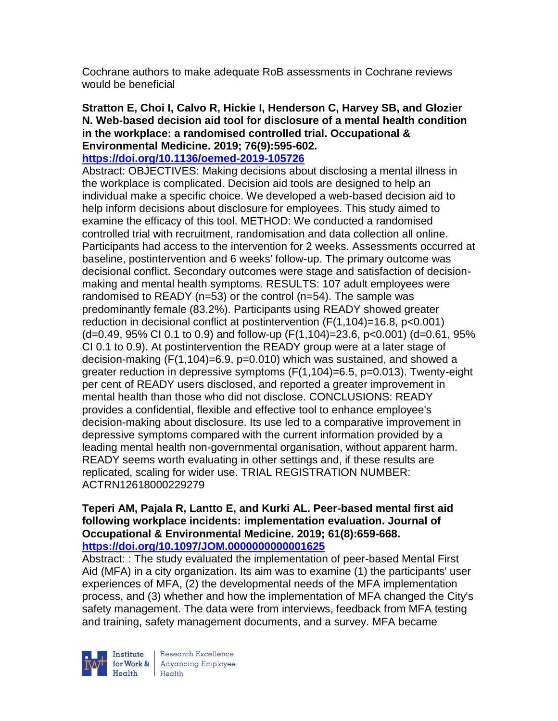Cochrane authors to make adequate RoB assessments in Cochrane reviews would be beneficial

## **Stratton E, Choi I, Calvo R, Hickie I, Henderson C, Harvey SB, and Glozier N. Web-based decision aid tool for disclosure of a mental health condition in the workplace: a randomised controlled trial. Occupational & Environmental Medicine. 2019; 76(9):595-602.**

### **<https://doi.org/10.1136/oemed-2019-105726>**

Abstract: OBJECTIVES: Making decisions about disclosing a mental illness in the workplace is complicated. Decision aid tools are designed to help an individual make a specific choice. We developed a web-based decision aid to help inform decisions about disclosure for employees. This study aimed to examine the efficacy of this tool. METHOD: We conducted a randomised controlled trial with recruitment, randomisation and data collection all online. Participants had access to the intervention for 2 weeks. Assessments occurred at baseline, postintervention and 6 weeks' follow-up. The primary outcome was decisional conflict. Secondary outcomes were stage and satisfaction of decisionmaking and mental health symptoms. RESULTS: 107 adult employees were randomised to READY (n=53) or the control (n=54). The sample was predominantly female (83.2%). Participants using READY showed greater reduction in decisional conflict at postintervention (F(1,104)=16.8, p<0.001) (d=0.49, 95% CI 0.1 to 0.9) and follow-up (F(1,104)=23.6, p<0.001) (d=0.61, 95% CI 0.1 to 0.9). At postintervention the READY group were at a later stage of decision-making (F(1,104)=6.9, p=0.010) which was sustained, and showed a greater reduction in depressive symptoms (F(1,104)=6.5, p=0.013). Twenty-eight per cent of READY users disclosed, and reported a greater improvement in mental health than those who did not disclose. CONCLUSIONS: READY provides a confidential, flexible and effective tool to enhance employee's decision-making about disclosure. Its use led to a comparative improvement in depressive symptoms compared with the current information provided by a leading mental health non-governmental organisation, without apparent harm. READY seems worth evaluating in other settings and, if these results are replicated, scaling for wider use. TRIAL REGISTRATION NUMBER: ACTRN12618000229279

### **Teperi AM, Pajala R, Lantto E, and Kurki AL. Peer-based mental first aid following workplace incidents: implementation evaluation. Journal of Occupational & Environmental Medicine. 2019; 61(8):659-668. <https://doi.org/10.1097/JOM.0000000000001625>**

Abstract: : The study evaluated the implementation of peer-based Mental First Aid (MFA) in a city organization. Its aim was to examine (1) the participants' user experiences of MFA, (2) the developmental needs of the MFA implementation process, and (3) whether and how the implementation of MFA changed the City's safety management. The data were from interviews, feedback from MFA testing and training, safety management documents, and a survey. MFA became



Research Excellence for Work & | Advancing Employee  $H_{\text{eath}}$